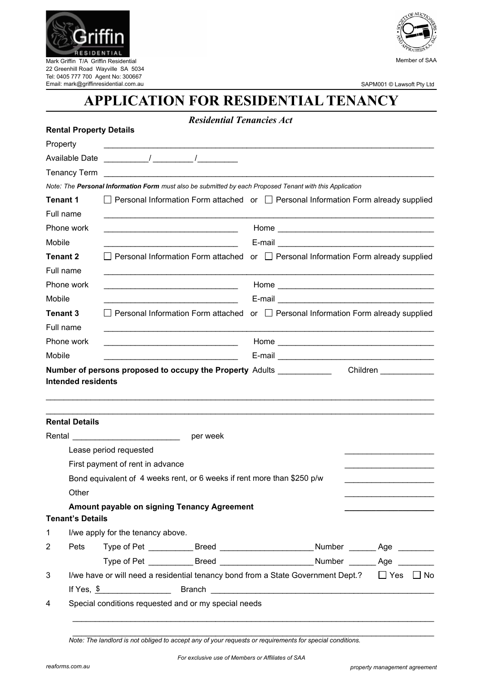

22 Greenhill Road Wayville SA 5034 Tel: 0405 777 700 Agent No: 300667 Email: mark@griffinresidential.com.au



SAPM001 © Lawsoft Pty Ltd

## **APPLICATION FOR RESIDENTIAL TENANCY**

*Residential Tenancies Act* 

|        | <b>Rental Property Details</b>                                                                        |                                                                                                   |                                                                                                                                                                                                                                                                                                                                                                                                                                                                                                                                                                                                                                                                                                                         |  |  |  |  |  |  |
|--------|-------------------------------------------------------------------------------------------------------|---------------------------------------------------------------------------------------------------|-------------------------------------------------------------------------------------------------------------------------------------------------------------------------------------------------------------------------------------------------------------------------------------------------------------------------------------------------------------------------------------------------------------------------------------------------------------------------------------------------------------------------------------------------------------------------------------------------------------------------------------------------------------------------------------------------------------------------|--|--|--|--|--|--|
|        | Property                                                                                              |                                                                                                   |                                                                                                                                                                                                                                                                                                                                                                                                                                                                                                                                                                                                                                                                                                                         |  |  |  |  |  |  |
|        |                                                                                                       |                                                                                                   |                                                                                                                                                                                                                                                                                                                                                                                                                                                                                                                                                                                                                                                                                                                         |  |  |  |  |  |  |
|        | <b>Tenancy Term</b>                                                                                   |                                                                                                   |                                                                                                                                                                                                                                                                                                                                                                                                                                                                                                                                                                                                                                                                                                                         |  |  |  |  |  |  |
|        |                                                                                                       |                                                                                                   | Note: The Personal Information Form must also be submitted by each Proposed Tenant with this Application<br>$\Box$ Personal Information Form attached or $\Box$ Personal Information Form already supplied                                                                                                                                                                                                                                                                                                                                                                                                                                                                                                              |  |  |  |  |  |  |
|        | <b>Tenant 1</b>                                                                                       |                                                                                                   |                                                                                                                                                                                                                                                                                                                                                                                                                                                                                                                                                                                                                                                                                                                         |  |  |  |  |  |  |
|        | Full name                                                                                             |                                                                                                   |                                                                                                                                                                                                                                                                                                                                                                                                                                                                                                                                                                                                                                                                                                                         |  |  |  |  |  |  |
|        | Phone work                                                                                            |                                                                                                   |                                                                                                                                                                                                                                                                                                                                                                                                                                                                                                                                                                                                                                                                                                                         |  |  |  |  |  |  |
| Mobile |                                                                                                       |                                                                                                   |                                                                                                                                                                                                                                                                                                                                                                                                                                                                                                                                                                                                                                                                                                                         |  |  |  |  |  |  |
|        | <b>Tenant 2</b>                                                                                       |                                                                                                   |                                                                                                                                                                                                                                                                                                                                                                                                                                                                                                                                                                                                                                                                                                                         |  |  |  |  |  |  |
|        | Full name                                                                                             |                                                                                                   |                                                                                                                                                                                                                                                                                                                                                                                                                                                                                                                                                                                                                                                                                                                         |  |  |  |  |  |  |
|        | Phone work                                                                                            |                                                                                                   |                                                                                                                                                                                                                                                                                                                                                                                                                                                                                                                                                                                                                                                                                                                         |  |  |  |  |  |  |
| Mobile |                                                                                                       |                                                                                                   | □ Personal Information Form attached or □ Personal Information Form already supplied<br>$\Box$ Personal Information Form attached or $\Box$ Personal Information Form already supplied<br><u> 1989 - Johann John Barn, mars ar breist ar breist ar breist ar breist ar breist ar breist ar breist ar breis</u><br><b>Number of persons proposed to occupy the Property Adults</b><br>Children <b>Children</b><br>per week<br>Amount payable on signing Tenancy Agreement<br>Pets Type of Pet _____________Breed _________________________Number ________Age __________<br>Type of Pet _____________Breed _________________________Number ________Age __________<br>Special conditions requested and or my special needs |  |  |  |  |  |  |
|        | <b>Tenant 3</b>                                                                                       |                                                                                                   |                                                                                                                                                                                                                                                                                                                                                                                                                                                                                                                                                                                                                                                                                                                         |  |  |  |  |  |  |
|        | Full name                                                                                             |                                                                                                   |                                                                                                                                                                                                                                                                                                                                                                                                                                                                                                                                                                                                                                                                                                                         |  |  |  |  |  |  |
|        | Phone work                                                                                            |                                                                                                   |                                                                                                                                                                                                                                                                                                                                                                                                                                                                                                                                                                                                                                                                                                                         |  |  |  |  |  |  |
| Mobile |                                                                                                       |                                                                                                   |                                                                                                                                                                                                                                                                                                                                                                                                                                                                                                                                                                                                                                                                                                                         |  |  |  |  |  |  |
|        |                                                                                                       |                                                                                                   |                                                                                                                                                                                                                                                                                                                                                                                                                                                                                                                                                                                                                                                                                                                         |  |  |  |  |  |  |
|        | <b>Intended residents</b>                                                                             |                                                                                                   |                                                                                                                                                                                                                                                                                                                                                                                                                                                                                                                                                                                                                                                                                                                         |  |  |  |  |  |  |
|        |                                                                                                       |                                                                                                   |                                                                                                                                                                                                                                                                                                                                                                                                                                                                                                                                                                                                                                                                                                                         |  |  |  |  |  |  |
|        |                                                                                                       |                                                                                                   |                                                                                                                                                                                                                                                                                                                                                                                                                                                                                                                                                                                                                                                                                                                         |  |  |  |  |  |  |
|        | <b>Rental Details</b>                                                                                 |                                                                                                   |                                                                                                                                                                                                                                                                                                                                                                                                                                                                                                                                                                                                                                                                                                                         |  |  |  |  |  |  |
|        |                                                                                                       | Rental ___________________________                                                                |                                                                                                                                                                                                                                                                                                                                                                                                                                                                                                                                                                                                                                                                                                                         |  |  |  |  |  |  |
|        |                                                                                                       |                                                                                                   |                                                                                                                                                                                                                                                                                                                                                                                                                                                                                                                                                                                                                                                                                                                         |  |  |  |  |  |  |
|        |                                                                                                       | First payment of rent in advance                                                                  |                                                                                                                                                                                                                                                                                                                                                                                                                                                                                                                                                                                                                                                                                                                         |  |  |  |  |  |  |
|        |                                                                                                       | Lease period requested<br>Bond equivalent of 4 weeks rent, or 6 weeks if rent more than \$250 p/w |                                                                                                                                                                                                                                                                                                                                                                                                                                                                                                                                                                                                                                                                                                                         |  |  |  |  |  |  |
|        | Other                                                                                                 |                                                                                                   |                                                                                                                                                                                                                                                                                                                                                                                                                                                                                                                                                                                                                                                                                                                         |  |  |  |  |  |  |
|        |                                                                                                       |                                                                                                   |                                                                                                                                                                                                                                                                                                                                                                                                                                                                                                                                                                                                                                                                                                                         |  |  |  |  |  |  |
|        | <b>Tenant's Details</b>                                                                               |                                                                                                   |                                                                                                                                                                                                                                                                                                                                                                                                                                                                                                                                                                                                                                                                                                                         |  |  |  |  |  |  |
| 1      |                                                                                                       | I/we apply for the tenancy above.                                                                 |                                                                                                                                                                                                                                                                                                                                                                                                                                                                                                                                                                                                                                                                                                                         |  |  |  |  |  |  |
| 2      |                                                                                                       |                                                                                                   |                                                                                                                                                                                                                                                                                                                                                                                                                                                                                                                                                                                                                                                                                                                         |  |  |  |  |  |  |
|        |                                                                                                       |                                                                                                   |                                                                                                                                                                                                                                                                                                                                                                                                                                                                                                                                                                                                                                                                                                                         |  |  |  |  |  |  |
| 3      | I/we have or will need a residential tenancy bond from a State Government Dept.? $\Box$ Yes $\Box$ No |                                                                                                   |                                                                                                                                                                                                                                                                                                                                                                                                                                                                                                                                                                                                                                                                                                                         |  |  |  |  |  |  |
|        |                                                                                                       | If Yes, $\frac{\$$                                                                                |                                                                                                                                                                                                                                                                                                                                                                                                                                                                                                                                                                                                                                                                                                                         |  |  |  |  |  |  |
| 4      |                                                                                                       |                                                                                                   |                                                                                                                                                                                                                                                                                                                                                                                                                                                                                                                                                                                                                                                                                                                         |  |  |  |  |  |  |
|        |                                                                                                       |                                                                                                   |                                                                                                                                                                                                                                                                                                                                                                                                                                                                                                                                                                                                                                                                                                                         |  |  |  |  |  |  |
|        |                                                                                                       |                                                                                                   |                                                                                                                                                                                                                                                                                                                                                                                                                                                                                                                                                                                                                                                                                                                         |  |  |  |  |  |  |

*Note: The landlord is not obliged to accept any of your requests or requirements for special conditions.*